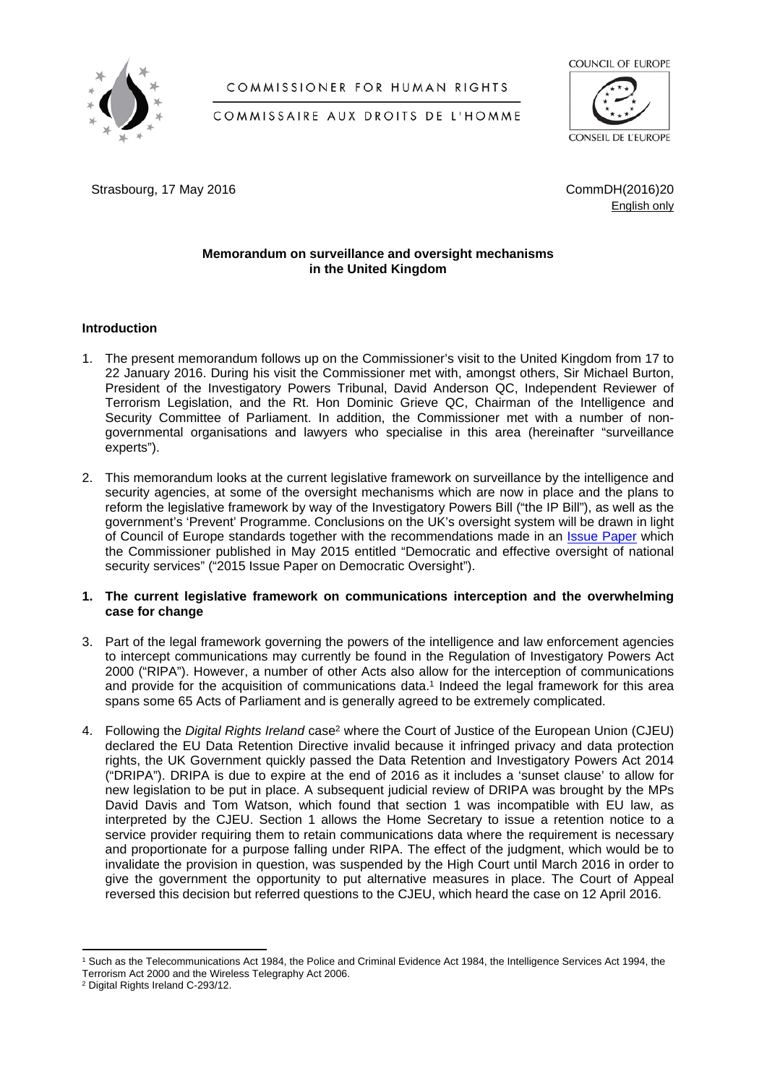

# COMMISSIONER FOR HUMAN RIGHTS



COMMISSAIRE AUX DROITS DE L'HOMME

Strasbourg, 17 May 2016 20 and the strasbourg, 17 May 2016

English only

## **Memorandum on surveillance and oversight mechanisms in the United Kingdom**

### **Introduction**

- 1. The present memorandum follows up on the Commissioner's visit to the United Kingdom from 17 to 22 January 2016. During his visit the Commissioner met with, amongst others, Sir Michael Burton, President of the Investigatory Powers Tribunal, David Anderson QC, Independent Reviewer of Terrorism Legislation, and the Rt. Hon Dominic Grieve QC, Chairman of the Intelligence and Security Committee of Parliament. In addition, the Commissioner met with a number of nongovernmental organisations and lawyers who specialise in this area (hereinafter "surveillance experts").
- 2. This memorandum looks at the current legislative framework on surveillance by the intelligence and security agencies, at some of the oversight mechanisms which are now in place and the plans to reform the legislative framework by way of the Investigatory Powers Bill ("the IP Bill"), as well as the government's 'Prevent' Programme. Conclusions on the UK's oversight system will be drawn in light of Council of Europe standards together with the recommendations made in an *[Issue Paper](https://wcd.coe.int/ViewDoc.jsp?p=&Ref=CommDH/IssuePaper(2015)2&Language=lanAll&direct=true)* which the Commissioner published in May 2015 entitled "Democratic and effective oversight of national security services" ("2015 Issue Paper on Democratic Oversight").

### **1. The current legislative framework on communications interception and the overwhelming case for change**

- 3. Part of the legal framework governing the powers of the intelligence and law enforcement agencies to intercept communications may currently be found in the Regulation of Investigatory Powers Act 2000 ("RIPA"). However, a number of other Acts also allow for the interception of communications and provide for the acquisition of communications data.<sup>1</sup> Indeed the legal framework for this area spans some 65 Acts of Parliament and is generally agreed to be extremely complicated.
- 4. Following the *Digital Rights Ireland* case<sup>2</sup> where the Court of Justice of the European Union (CJEU) declared the EU Data Retention Directive invalid because it infringed privacy and data protection rights, the UK Government quickly passed the Data Retention and Investigatory Powers Act 2014 ("DRIPA"). DRIPA is due to expire at the end of 2016 as it includes a 'sunset clause' to allow for new legislation to be put in place. A subsequent judicial review of DRIPA was brought by the MPs David Davis and Tom Watson, which found that section 1 was incompatible with EU law, as interpreted by the CJEU. Section 1 allows the Home Secretary to issue a retention notice to a service provider requiring them to retain communications data where the requirement is necessary and proportionate for a purpose falling under RIPA. The effect of the judgment, which would be to invalidate the provision in question, was suspended by the High Court until March 2016 in order to give the government the opportunity to put alternative measures in place. The Court of Appeal reversed this decision but referred questions to the CJEU, which heard the case on 12 April 2016.

<sup>1</sup> Such as the Telecommunications Act 1984, the Police and Criminal Evidence Act 1984, the Intelligence Services Act 1994, the Terrorism Act 2000 and the Wireless Telegraphy Act 2006.

<sup>2</sup> Digital Rights Ireland C-293/12.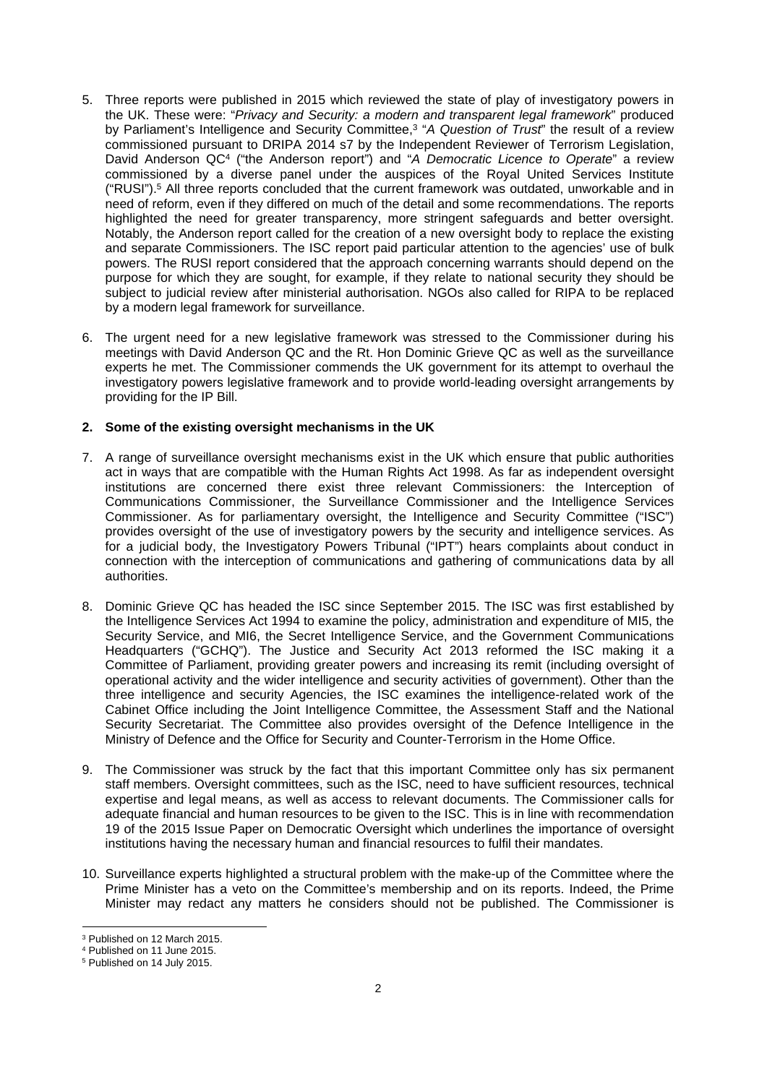- 5. Three reports were published in 2015 which reviewed the state of play of investigatory powers in the UK. These were: "*Privacy and Security: a modern and transparent legal framework*" produced by Parliament's Intelligence and Security Committee,<sup>3</sup> "*A Question of Trust*" the result of a review commissioned pursuant to DRIPA 2014 s7 by the Independent Reviewer of Terrorism Legislation, David Anderson QC<sup>4</sup> ("the Anderson report") and "A Democratic Licence to Operate" a review commissioned by a diverse panel under the auspices of the Royal United Services Institute ("RUSI").<sup>5</sup> All three reports concluded that the current framework was outdated, unworkable and in need of reform, even if they differed on much of the detail and some recommendations. The reports highlighted the need for greater transparency, more stringent safeguards and better oversight. Notably, the Anderson report called for the creation of a new oversight body to replace the existing and separate Commissioners. The ISC report paid particular attention to the agencies' use of bulk powers. The RUSI report considered that the approach concerning warrants should depend on the purpose for which they are sought, for example, if they relate to national security they should be subject to judicial review after ministerial authorisation. NGOs also called for RIPA to be replaced by a modern legal framework for surveillance.
- 6. The urgent need for a new legislative framework was stressed to the Commissioner during his meetings with David Anderson QC and the Rt. Hon Dominic Grieve QC as well as the surveillance experts he met. The Commissioner commends the UK government for its attempt to overhaul the investigatory powers legislative framework and to provide world-leading oversight arrangements by providing for the IP Bill.

### **2. Some of the existing oversight mechanisms in the UK**

- 7. A range of surveillance oversight mechanisms exist in the UK which ensure that public authorities act in ways that are compatible with the Human Rights Act 1998. As far as independent oversight institutions are concerned there exist three relevant Commissioners: the Interception of Communications Commissioner, the Surveillance Commissioner and the Intelligence Services Commissioner. As for parliamentary oversight, the Intelligence and Security Committee ("ISC") provides oversight of the use of investigatory powers by the security and intelligence services. As for a judicial body, the Investigatory Powers Tribunal ("IPT") hears complaints about conduct in connection with the interception of communications and gathering of communications data by all authorities.
- 8. Dominic Grieve QC has headed the ISC since September 2015. The ISC was first established by the Intelligence Services Act 1994 to examine the policy, administration and expenditure of MI5, the Security Service, and MI6, the Secret Intelligence Service, and the Government Communications Headquarters ("GCHQ"). The Justice and Security Act 2013 reformed the ISC making it a Committee of Parliament, providing greater powers and increasing its remit (including oversight of operational activity and the wider intelligence and security activities of government). Other than the three intelligence and security Agencies, the ISC examines the intelligence-related work of the Cabinet Office including the Joint Intelligence Committee, the Assessment Staff and the National Security Secretariat. The Committee also provides oversight of the Defence Intelligence in the Ministry of Defence and the Office for Security and Counter-Terrorism in the Home Office.
- 9. The Commissioner was struck by the fact that this important Committee only has six permanent staff members. Oversight committees, such as the ISC, need to have sufficient resources, technical expertise and legal means, as well as access to relevant documents. The Commissioner calls for adequate financial and human resources to be given to the ISC. This is in line with recommendation 19 of the 2015 Issue Paper on Democratic Oversight which underlines the importance of oversight institutions having the necessary human and financial resources to fulfil their mandates.
- 10. Surveillance experts highlighted a structural problem with the make-up of the Committee where the Prime Minister has a veto on the Committee's membership and on its reports. Indeed, the Prime Minister may redact any matters he considers should not be published. The Commissioner is

<sup>3</sup> Published on 12 March 2015.

<sup>4</sup> Published on 11 June 2015.

<sup>5</sup> Published on 14 July 2015.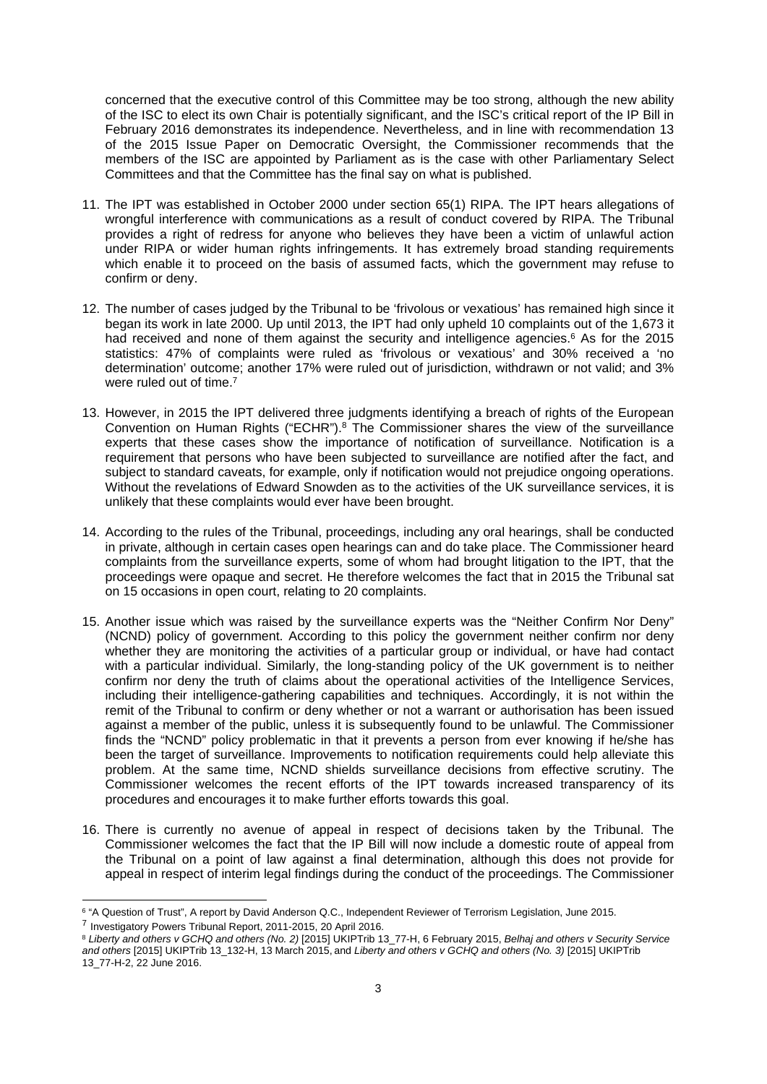concerned that the executive control of this Committee may be too strong, although the new ability of the ISC to elect its own Chair is potentially significant, and the ISC's critical report of the IP Bill in February 2016 demonstrates its independence. Nevertheless, and in line with recommendation 13 of the 2015 Issue Paper on Democratic Oversight, the Commissioner recommends that the members of the ISC are appointed by Parliament as is the case with other Parliamentary Select Committees and that the Committee has the final say on what is published.

- 11. The IPT was established in October 2000 under section 65(1) RIPA. The IPT hears allegations of wrongful interference with communications as a result of conduct covered by RIPA. The Tribunal provides a right of redress for anyone who believes they have been a victim of unlawful action under RIPA or wider human rights infringements. It has extremely broad standing requirements which enable it to proceed on the basis of assumed facts, which the government may refuse to confirm or deny.
- 12. The number of cases judged by the Tribunal to be 'frivolous or vexatious' has remained high since it began its work in late 2000. Up until 2013, the IPT had only upheld 10 complaints out of the 1,673 it had received and none of them against the security and intelligence agencies.<sup>6</sup> As for the 2015 statistics: 47% of complaints were ruled as 'frivolous or vexatious' and 30% received a 'no determination' outcome; another 17% were ruled out of jurisdiction, withdrawn or not valid; and 3% were ruled out of time.<sup>7</sup>
- 13. However, in 2015 the IPT delivered three judgments identifying a breach of rights of the European Convention on Human Rights ("ECHR").<sup>8</sup> The Commissioner shares the view of the surveillance experts that these cases show the importance of notification of surveillance. Notification is a requirement that persons who have been subjected to surveillance are notified after the fact, and subject to standard caveats, for example, only if notification would not prejudice ongoing operations. Without the revelations of Edward Snowden as to the activities of the UK surveillance services, it is unlikely that these complaints would ever have been brought.
- 14. According to the rules of the Tribunal, proceedings, including any oral hearings, shall be conducted in private, although in certain cases open hearings can and do take place. The Commissioner heard complaints from the surveillance experts, some of whom had brought litigation to the IPT, that the proceedings were opaque and secret. He therefore welcomes the fact that in 2015 the Tribunal sat on 15 occasions in open court, relating to 20 complaints.
- 15. Another issue which was raised by the surveillance experts was the "Neither Confirm Nor Deny" (NCND) policy of government. According to this policy the government neither confirm nor deny whether they are monitoring the activities of a particular group or individual, or have had contact with a particular individual. Similarly, the long-standing policy of the UK government is to neither confirm nor deny the truth of claims about the operational activities of the Intelligence Services, including their intelligence-gathering capabilities and techniques. Accordingly, it is not within the remit of the Tribunal to confirm or deny whether or not a warrant or authorisation has been issued against a member of the public, unless it is subsequently found to be unlawful. The Commissioner finds the "NCND" policy problematic in that it prevents a person from ever knowing if he/she has been the target of surveillance. Improvements to notification requirements could help alleviate this problem. At the same time, NCND shields surveillance decisions from effective scrutiny. The Commissioner welcomes the recent efforts of the IPT towards increased transparency of its procedures and encourages it to make further efforts towards this goal.
- 16. There is currently no avenue of appeal in respect of decisions taken by the Tribunal. The Commissioner welcomes the fact that the IP Bill will now include a domestic route of appeal from the Tribunal on a point of law against a final determination, although this does not provide for appeal in respect of interim legal findings during the conduct of the proceedings. The Commissioner

<sup>6</sup> "A Question of Trust", A report by David Anderson Q.C., Independent Reviewer of Terrorism Legislation, June 2015.

<sup>&</sup>lt;sup>7</sup> Investigatory Powers Tribunal Report, 2011-2015, 20 April 2016.

<sup>8</sup> *Liberty and others v GCHQ and others (No. 2)* [2015] UKIPTrib 13\_77-H, 6 February 2015, *Belhaj and others v Security Service and others* [2015] UKIPTrib 13\_132-H, 13 March 2015, and *Liberty and others v GCHQ and others (No. 3)* [2015] UKIPTrib 13\_77-H-2, 22 June 2016.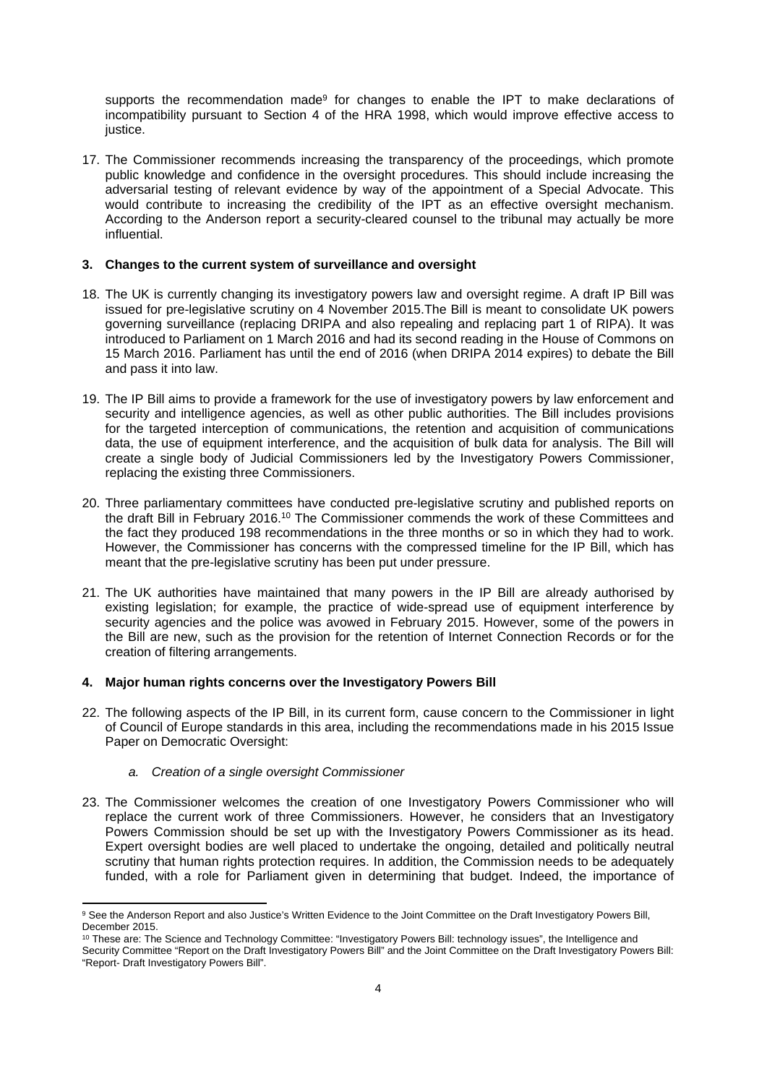supports the recommendation made<sup>9</sup> for changes to enable the IPT to make declarations of incompatibility pursuant to Section 4 of the HRA 1998, which would improve effective access to justice.

17. The Commissioner recommends increasing the transparency of the proceedings, which promote public knowledge and confidence in the oversight procedures. This should include increasing the adversarial testing of relevant evidence by way of the appointment of a Special Advocate. This would contribute to increasing the credibility of the IPT as an effective oversight mechanism. According to the Anderson report a security-cleared counsel to the tribunal may actually be more influential.

## **3. Changes to the current system of surveillance and oversight**

- 18. The UK is currently changing its investigatory powers law and oversight regime. A draft IP Bill was issued for pre-legislative scrutiny on 4 November 2015.The Bill is meant to consolidate UK powers governing surveillance (replacing DRIPA and also repealing and replacing part 1 of RIPA). It was introduced to Parliament on 1 March 2016 and had its second reading in the House of Commons on 15 March 2016. Parliament has until the end of 2016 (when DRIPA 2014 expires) to debate the Bill and pass it into law.
- 19. The IP Bill aims to provide a framework for the use of investigatory powers by law enforcement and security and intelligence agencies, as well as other public authorities. The Bill includes provisions for the targeted interception of communications, the retention and acquisition of communications data, the use of equipment interference, and the acquisition of bulk data for analysis. The Bill will create a single body of Judicial Commissioners led by the Investigatory Powers Commissioner, replacing the existing three Commissioners.
- 20. Three parliamentary committees have conducted pre-legislative scrutiny and published reports on the draft Bill in February 2016.<sup>10</sup> The Commissioner commends the work of these Committees and the fact they produced 198 recommendations in the three months or so in which they had to work. However, the Commissioner has concerns with the compressed timeline for the IP Bill, which has meant that the pre-legislative scrutiny has been put under pressure.
- 21. The UK authorities have maintained that many powers in the IP Bill are already authorised by existing legislation; for example, the practice of wide-spread use of equipment interference by security agencies and the police was avowed in February 2015. However, some of the powers in the Bill are new, such as the provision for the retention of Internet Connection Records or for the creation of filtering arrangements.

#### **4. Major human rights concerns over the Investigatory Powers Bill**

- 22. The following aspects of the IP Bill, in its current form, cause concern to the Commissioner in light of Council of Europe standards in this area, including the recommendations made in his 2015 Issue Paper on Democratic Oversight:
	- *a. Creation of a single oversight Commissioner*
- 23. The Commissioner welcomes the creation of one Investigatory Powers Commissioner who will replace the current work of three Commissioners. However, he considers that an Investigatory Powers Commission should be set up with the Investigatory Powers Commissioner as its head. Expert oversight bodies are well placed to undertake the ongoing, detailed and politically neutral scrutiny that human rights protection requires. In addition, the Commission needs to be adequately funded, with a role for Parliament given in determining that budget. Indeed, the importance of

<sup>&</sup>lt;sup>9</sup> See the Anderson Report and also Justice's Written Evidence to the Joint Committee on the Draft Investigatory Powers Bill, December 2015.

<sup>10</sup> These are: The Science and Technology Committee: "Investigatory Powers Bill: technology issues", the Intelligence and

Security Committee "Report on the Draft Investigatory Powers Bill" and the Joint Committee on the Draft Investigatory Powers Bill: "Report- Draft Investigatory Powers Bill".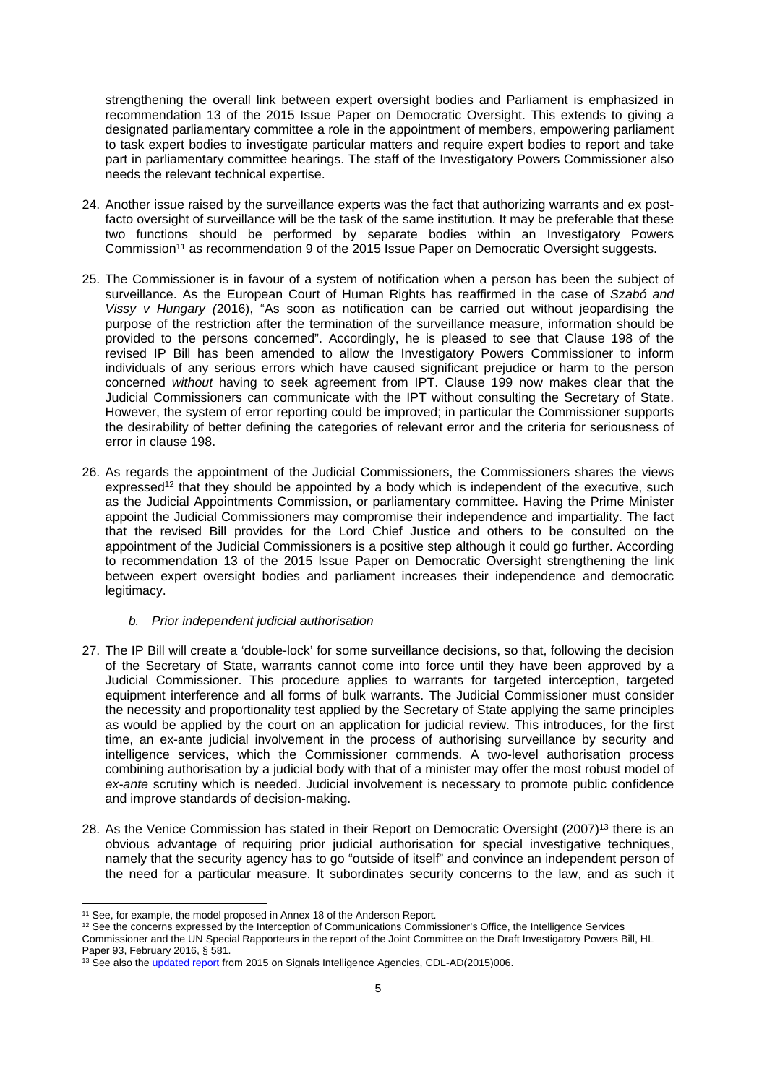strengthening the overall link between expert oversight bodies and Parliament is emphasized in recommendation 13 of the 2015 Issue Paper on Democratic Oversight. This extends to giving a designated parliamentary committee a role in the appointment of members, empowering parliament to task expert bodies to investigate particular matters and require expert bodies to report and take part in parliamentary committee hearings. The staff of the Investigatory Powers Commissioner also needs the relevant technical expertise.

- 24. Another issue raised by the surveillance experts was the fact that authorizing warrants and ex postfacto oversight of surveillance will be the task of the same institution. It may be preferable that these two functions should be performed by separate bodies within an Investigatory Powers Commission<sup>11</sup> as recommendation 9 of the 2015 Issue Paper on Democratic Oversight suggests.
- 25. The Commissioner is in favour of a system of notification when a person has been the subject of surveillance. As the European Court of Human Rights has reaffirmed in the case of *Szabó and Vissy v Hungary (*2016), "As soon as notification can be carried out without jeopardising the purpose of the restriction after the termination of the surveillance measure, information should be provided to the persons concerned". Accordingly, he is pleased to see that Clause 198 of the revised IP Bill has been amended to allow the Investigatory Powers Commissioner to inform individuals of any serious errors which have caused significant prejudice or harm to the person concerned *without* having to seek agreement from IPT. Clause 199 now makes clear that the Judicial Commissioners can communicate with the IPT without consulting the Secretary of State. However, the system of error reporting could be improved; in particular the Commissioner supports the desirability of better defining the categories of relevant error and the criteria for seriousness of error in clause 198.
- 26. As regards the appointment of the Judicial Commissioners, the Commissioners shares the views expressed<sup>12</sup> that they should be appointed by a body which is independent of the executive, such as the Judicial Appointments Commission, or parliamentary committee. Having the Prime Minister appoint the Judicial Commissioners may compromise their independence and impartiality. The fact that the revised Bill provides for the Lord Chief Justice and others to be consulted on the appointment of the Judicial Commissioners is a positive step although it could go further. According to recommendation 13 of the 2015 Issue Paper on Democratic Oversight strengthening the link between expert oversight bodies and parliament increases their independence and democratic legitimacy.
	- *b. Prior independent judicial authorisation*
- 27. The IP Bill will create a 'double-lock' for some surveillance decisions, so that, following the decision of the Secretary of State, warrants cannot come into force until they have been approved by a Judicial Commissioner. This procedure applies to warrants for targeted interception, targeted equipment interference and all forms of bulk warrants. The Judicial Commissioner must consider the necessity and proportionality test applied by the Secretary of State applying the same principles as would be applied by the court on an application for judicial review. This introduces, for the first time, an ex-ante judicial involvement in the process of authorising surveillance by security and intelligence services, which the Commissioner commends. A two-level authorisation process combining authorisation by a judicial body with that of a minister may offer the most robust model of *ex-ante* scrutiny which is needed. Judicial involvement is necessary to promote public confidence and improve standards of decision-making.
- 28. As the Venice Commission has stated in their Report on Democratic Oversight (2007)<sup>13</sup> there is an obvious advantage of requiring prior judicial authorisation for special investigative techniques, namely that the security agency has to go "outside of itself" and convince an independent person of the need for a particular measure. It subordinates security concerns to the law, and as such it

<sup>&</sup>lt;sup>11</sup> See, for example, the model proposed in Annex 18 of the Anderson Report.

<sup>&</sup>lt;sup>12</sup> See the concerns expressed by the Interception of Communications Commissioner's Office, the Intelligence Services

Commissioner and the UN Special Rapporteurs in the report of the Joint Committee on the Draft Investigatory Powers Bill, HL Paper 93, February 2016, § 581.

<sup>&</sup>lt;sup>13</sup> See also the [updated report](http://www.venice.coe.int/webforms/documents/default.aspx?pdffile=CDL-AD(2015)006-e) from 2015 on Signals Intelligence Agencies, CDL-AD(2015)006.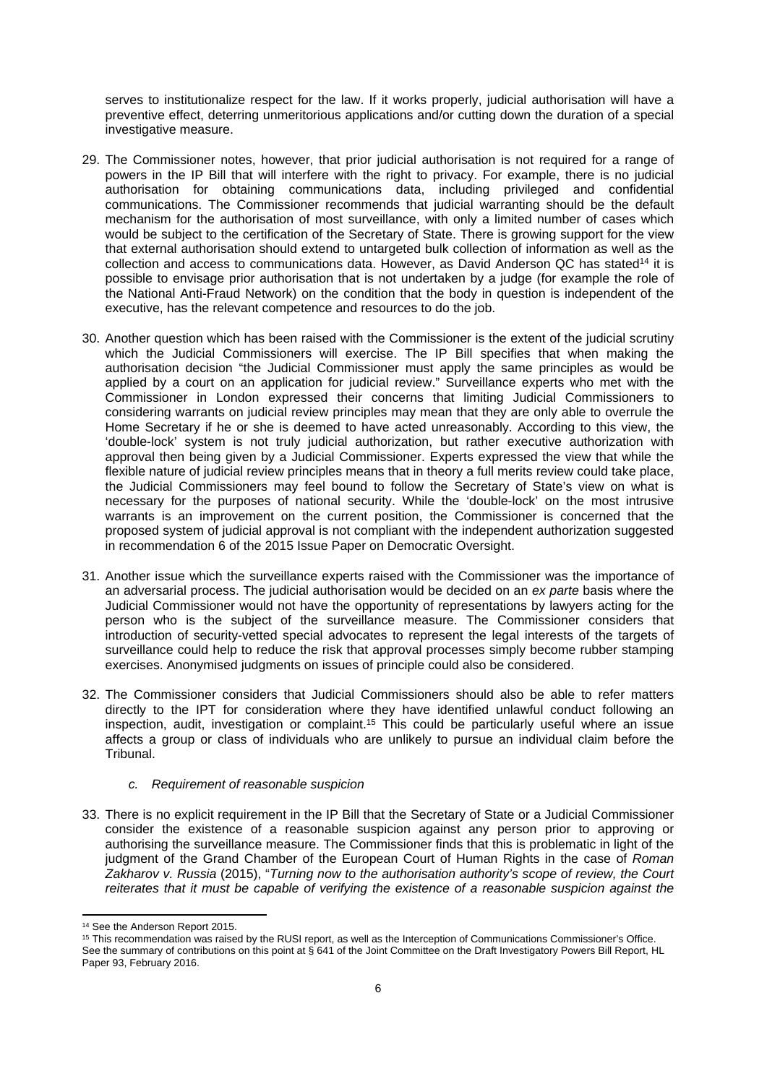serves to institutionalize respect for the law. If it works properly, judicial authorisation will have a preventive effect, deterring unmeritorious applications and/or cutting down the duration of a special investigative measure.

- 29. The Commissioner notes, however, that prior judicial authorisation is not required for a range of powers in the IP Bill that will interfere with the right to privacy. For example, there is no judicial authorisation for obtaining communications data, including privileged and confidential communications. The Commissioner recommends that judicial warranting should be the default mechanism for the authorisation of most surveillance, with only a limited number of cases which would be subject to the certification of the Secretary of State. There is growing support for the view that external authorisation should extend to untargeted bulk collection of information as well as the collection and access to communications data. However, as David Anderson QC has stated<sup>14</sup> it is possible to envisage prior authorisation that is not undertaken by a judge (for example the role of the National Anti-Fraud Network) on the condition that the body in question is independent of the executive, has the relevant competence and resources to do the job.
- 30. Another question which has been raised with the Commissioner is the extent of the judicial scrutiny which the Judicial Commissioners will exercise. The IP Bill specifies that when making the authorisation decision "the Judicial Commissioner must apply the same principles as would be applied by a court on an application for judicial review." Surveillance experts who met with the Commissioner in London expressed their concerns that limiting Judicial Commissioners to considering warrants on judicial review principles may mean that they are only able to overrule the Home Secretary if he or she is deemed to have acted unreasonably. According to this view, the 'double-lock' system is not truly judicial authorization, but rather executive authorization with approval then being given by a Judicial Commissioner. Experts expressed the view that while the flexible nature of judicial review principles means that in theory a full merits review could take place, the Judicial Commissioners may feel bound to follow the Secretary of State's view on what is necessary for the purposes of national security. While the 'double-lock' on the most intrusive warrants is an improvement on the current position, the Commissioner is concerned that the proposed system of judicial approval is not compliant with the independent authorization suggested in recommendation 6 of the 2015 Issue Paper on Democratic Oversight.
- 31. Another issue which the surveillance experts raised with the Commissioner was the importance of an adversarial process. The judicial authorisation would be decided on an *ex parte* basis where the Judicial Commissioner would not have the opportunity of representations by lawyers acting for the person who is the subject of the surveillance measure. The Commissioner considers that introduction of security-vetted special advocates to represent the legal interests of the targets of surveillance could help to reduce the risk that approval processes simply become rubber stamping exercises. Anonymised judgments on issues of principle could also be considered.
- 32. The Commissioner considers that Judicial Commissioners should also be able to refer matters directly to the IPT for consideration where they have identified unlawful conduct following an inspection, audit, investigation or complaint.<sup>15</sup> This could be particularly useful where an issue affects a group or class of individuals who are unlikely to pursue an individual claim before the Tribunal.

#### *c. Requirement of reasonable suspicion*

33. There is no explicit requirement in the IP Bill that the Secretary of State or a Judicial Commissioner consider the existence of a reasonable suspicion against any person prior to approving or authorising the surveillance measure. The Commissioner finds that this is problematic in light of the judgment of the Grand Chamber of the European Court of Human Rights in the case of *Roman Zakharov v. Russia* (2015), "*Turning now to the authorisation authority's scope of review, the Court reiterates that it must be capable of verifying the existence of a reasonable suspicion against the* 

<sup>14</sup> See the Anderson Report 2015.

<sup>15</sup> This recommendation was raised by the RUSI report, as well as the Interception of Communications Commissioner's Office. See the summary of contributions on this point at § 641 of the Joint Committee on the Draft Investigatory Powers Bill Report, HL Paper 93, February 2016.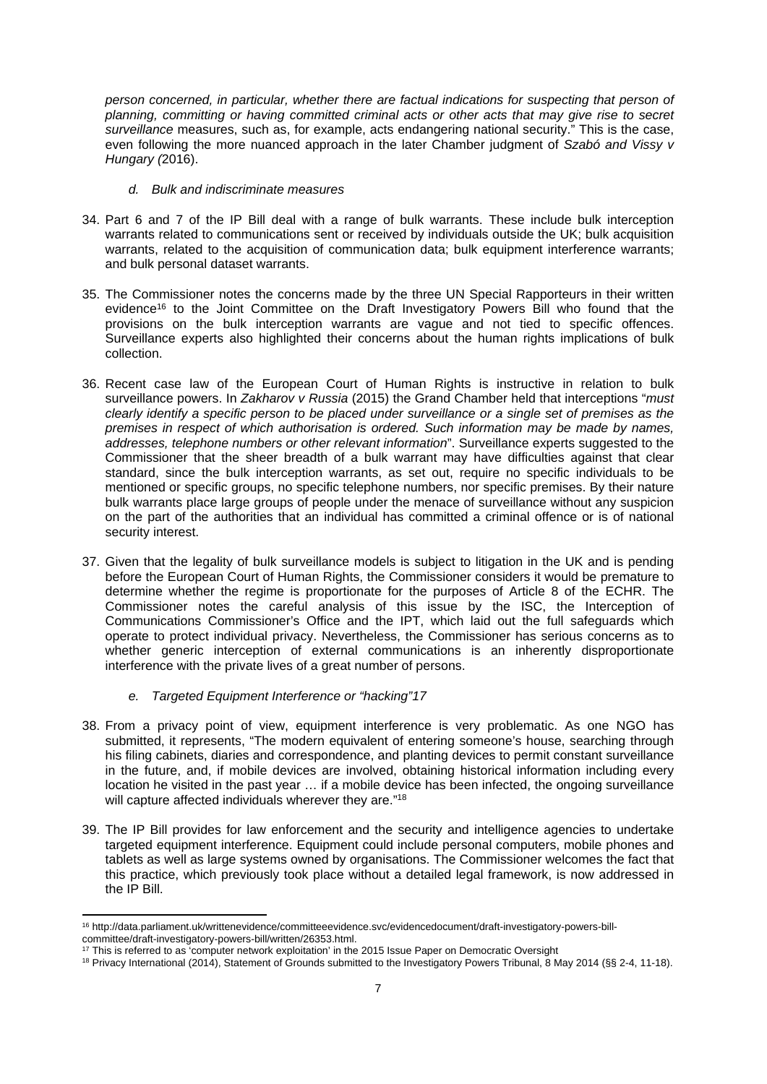*person concerned, in particular, whether there are factual indications for suspecting that person of planning, committing or having committed criminal acts or other acts that may give rise to secret surveillance* measures, such as, for example, acts endangering national security." This is the case, even following the more nuanced approach in the later Chamber judgment of *Szabó and Vissy v Hungary (*2016).

#### *d. Bulk and indiscriminate measures*

- 34. Part 6 and 7 of the IP Bill deal with a range of bulk warrants. These include bulk interception warrants related to communications sent or received by individuals outside the UK; bulk acquisition warrants, related to the acquisition of communication data; bulk equipment interference warrants; and bulk personal dataset warrants.
- 35. The Commissioner notes the concerns made by the three UN Special Rapporteurs in their written evidence<sup>16</sup> to the Joint Committee on the Draft Investigatory Powers Bill who found that the provisions on the bulk interception warrants are vague and not tied to specific offences. Surveillance experts also highlighted their concerns about the human rights implications of bulk collection.
- 36. Recent case law of the European Court of Human Rights is instructive in relation to bulk surveillance powers. In *Zakharov v Russia* (2015) the Grand Chamber held that interceptions "*must clearly identify a specific person to be placed under surveillance or a single set of premises as the premises in respect of which authorisation is ordered. Such information may be made by names, addresses, telephone numbers or other relevant information*". Surveillance experts suggested to the Commissioner that the sheer breadth of a bulk warrant may have difficulties against that clear standard, since the bulk interception warrants, as set out, require no specific individuals to be mentioned or specific groups, no specific telephone numbers, nor specific premises. By their nature bulk warrants place large groups of people under the menace of surveillance without any suspicion on the part of the authorities that an individual has committed a criminal offence or is of national security interest.
- 37. Given that the legality of bulk surveillance models is subject to litigation in the UK and is pending before the European Court of Human Rights, the Commissioner considers it would be premature to determine whether the regime is proportionate for the purposes of Article 8 of the ECHR. The Commissioner notes the careful analysis of this issue by the ISC, the Interception of Communications Commissioner's Office and the IPT, which laid out the full safeguards which operate to protect individual privacy. Nevertheless, the Commissioner has serious concerns as to whether generic interception of external communications is an inherently disproportionate interference with the private lives of a great number of persons.
	- *e. Targeted Equipment Interference or "hacking"17*
- 38. From a privacy point of view, equipment interference is very problematic. As one NGO has submitted, it represents, "The modern equivalent of entering someone's house, searching through his filing cabinets, diaries and correspondence, and planting devices to permit constant surveillance in the future, and, if mobile devices are involved, obtaining historical information including every location he visited in the past year … if a mobile device has been infected, the ongoing surveillance will capture affected individuals wherever they are."<sup>18</sup>
- 39. The IP Bill provides for law enforcement and the security and intelligence agencies to undertake targeted equipment interference. Equipment could include personal computers, mobile phones and tablets as well as large systems owned by organisations. The Commissioner welcomes the fact that this practice, which previously took place without a detailed legal framework, is now addressed in the IP Bill.

<sup>16</sup> http://data.parliament.uk/writtenevidence/committeeevidence.svc/evidencedocument/draft-investigatory-powers-billcommittee/draft-investigatory-powers-bill/written/26353.html.

<sup>&</sup>lt;sup>17</sup> This is referred to as 'computer network exploitation' in the 2015 Issue Paper on Democratic Oversight

<sup>18</sup> Privacy International (2014), Statement of Grounds submitted to the Investigatory Powers Tribunal, 8 May 2014 (§§ 2-4, 11-18).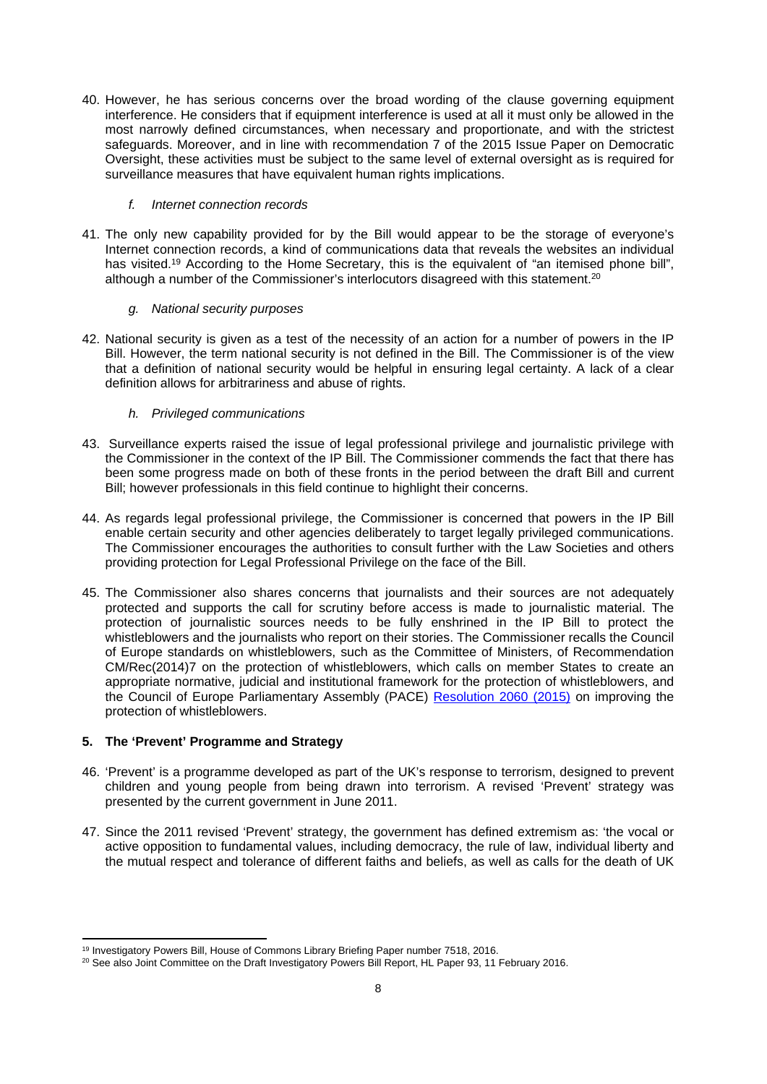40. However, he has serious concerns over the broad wording of the clause governing equipment interference. He considers that if equipment interference is used at all it must only be allowed in the most narrowly defined circumstances, when necessary and proportionate, and with the strictest safeguards. Moreover, and in line with recommendation 7 of the 2015 Issue Paper on Democratic Oversight, these activities must be subject to the same level of external oversight as is required for surveillance measures that have equivalent human rights implications.

### *f. Internet connection records*

41. The only new capability provided for by the Bill would appear to be the storage of everyone's Internet connection records, a kind of communications data that reveals the websites an individual has visited.<sup>19</sup> According to the Home Secretary, this is the equivalent of "an itemised phone bill", although a number of the Commissioner's interlocutors disagreed with this statement.<sup>20</sup>

### *g. National security purposes*

42. National security is given as a test of the necessity of an action for a number of powers in the IP Bill. However, the term national security is not defined in the Bill. The Commissioner is of the view that a definition of national security would be helpful in ensuring legal certainty. A lack of a clear definition allows for arbitrariness and abuse of rights.

# *h. Privileged communications*

- 43. Surveillance experts raised the issue of legal professional privilege and journalistic privilege with the Commissioner in the context of the IP Bill. The Commissioner commends the fact that there has been some progress made on both of these fronts in the period between the draft Bill and current Bill; however professionals in this field continue to highlight their concerns.
- 44. As regards legal professional privilege, the Commissioner is concerned that powers in the IP Bill enable certain security and other agencies deliberately to target legally privileged communications. The Commissioner encourages the authorities to consult further with the Law Societies and others providing protection for Legal Professional Privilege on the face of the Bill.
- 45. The Commissioner also shares concerns that journalists and their sources are not adequately protected and supports the call for scrutiny before access is made to journalistic material. The protection of journalistic sources needs to be fully enshrined in the IP Bill to protect the whistleblowers and the journalists who report on their stories. The Commissioner recalls the Council of Europe standards on whistleblowers, such as the Committee of Ministers, of Recommendation CM/Rec(2014)7 on the protection of whistleblowers, which calls on member States to create an appropriate normative, judicial and institutional framework for the protection of whistleblowers, and the Council of Europe Parliamentary Assembly (PACE) [Resolution 2060 \(2015\)](http://assembly.coe.int/nw/xml/XRef/Xref-XML2HTML-en.asp?fileid=21931&lang=en) on improving the protection of whistleblowers.

# **5. The 'Prevent' Programme and Strategy**

- 46. 'Prevent' is a programme developed as part of the UK's response to terrorism, designed to prevent children and young people from being drawn into terrorism. A revised 'Prevent' strategy was presented by the current government in June 2011.
- 47. Since the 2011 revised 'Prevent' strategy, the government has defined extremism as: 'the vocal or active opposition to fundamental values, including democracy, the rule of law, individual liberty and the mutual respect and tolerance of different faiths and beliefs, as well as calls for the death of UK

<sup>19</sup> Investigatory Powers Bill, House of Commons Library Briefing Paper number 7518, 2016.

<sup>20</sup> See also Joint Committee on the Draft Investigatory Powers Bill Report, HL Paper 93, 11 February 2016.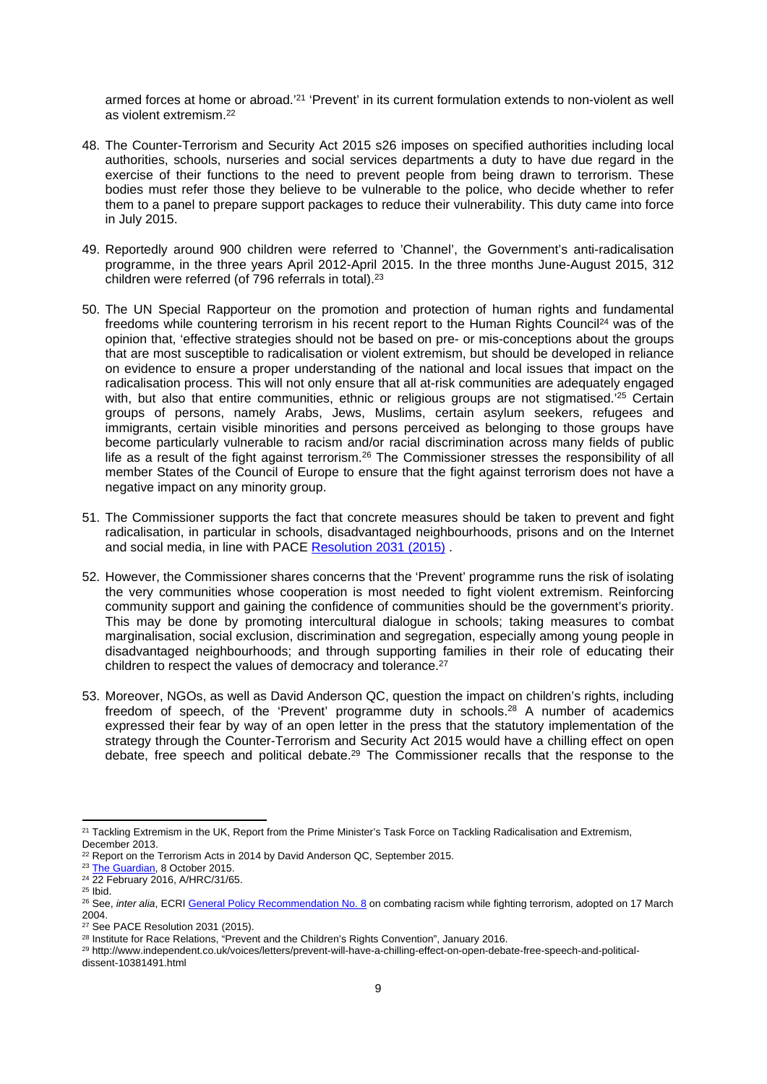armed forces at home or abroad.'<sup>21</sup> 'Prevent' in its current formulation extends to non-violent as well as violent extremism.<sup>22</sup>

- 48. The Counter-Terrorism and Security Act 2015 s26 imposes on specified authorities including local authorities, schools, nurseries and social services departments a duty to have due regard in the exercise of their functions to the need to prevent people from being drawn to terrorism. These bodies must refer those they believe to be vulnerable to the police, who decide whether to refer them to a panel to prepare support packages to reduce their vulnerability. This duty came into force in July 2015.
- 49. Reportedly around 900 children were referred to 'Channel', the Government's anti-radicalisation programme, in the three years April 2012-April 2015. In the three months June-August 2015, 312 children were referred (of 796 referrals in total).<sup>23</sup>
- 50. The UN Special Rapporteur on the promotion and protection of human rights and fundamental freedoms while countering terrorism in his recent report to the Human Rights Council<sup>24</sup> was of the opinion that, 'effective strategies should not be based on pre- or mis-conceptions about the groups that are most susceptible to radicalisation or violent extremism, but should be developed in reliance on evidence to ensure a proper understanding of the national and local issues that impact on the radicalisation process. This will not only ensure that all at-risk communities are adequately engaged with, but also that entire communities, ethnic or religious groups are not stigmatised.<sup>'25</sup> Certain groups of persons, namely Arabs, Jews, Muslims, certain asylum seekers, refugees and immigrants, certain visible minorities and persons perceived as belonging to those groups have become particularly vulnerable to racism and/or racial discrimination across many fields of public life as a result of the fight against terrorism.<sup>26</sup> The Commissioner stresses the responsibility of all member States of the Council of Europe to ensure that the fight against terrorism does not have a negative impact on any minority group.
- 51. The Commissioner supports the fact that concrete measures should be taken to prevent and fight radicalisation, in particular in schools, disadvantaged neighbourhoods, prisons and on the Internet and social media, in line with PACE [Resolution 2031 \(2015\)](http://assembly.coe.int/nw/xml/XRef/X2H-Xref-ViewHTML.asp?FileID=21521&lang=en) .
- 52. However, the Commissioner shares concerns that the 'Prevent' programme runs the risk of isolating the very communities whose cooperation is most needed to fight violent extremism. Reinforcing community support and gaining the confidence of communities should be the government's priority. This may be done by promoting intercultural dialogue in schools; taking measures to combat marginalisation, social exclusion, discrimination and segregation, especially among young people in disadvantaged neighbourhoods; and through supporting families in their role of educating their children to respect the values of democracy and tolerance.<sup>27</sup>
- 53. Moreover, NGOs, as well as David Anderson QC, question the impact on children's rights, including freedom of speech, of the 'Prevent' programme duty in schools.<sup>28</sup> A number of academics expressed their fear by way of an open letter in the press that the statutory implementation of the strategy through the Counter-Terrorism and Security Act 2015 would have a chilling effect on open debate, free speech and political debate.<sup>29</sup> The Commissioner recalls that the response to the

29 http://www.independent.co.uk/voices/letters/prevent-will-have-a-chilling-effect-on-open-debate-free-speech-and-politicaldissent-10381491.html

<sup>21</sup> Tackling Extremism in the UK, Report from the Prime Minister's Task Force on Tackling Radicalisation and Extremism, December 2013.

<sup>&</sup>lt;sup>22</sup> Report on the Terrorism Acts in 2014 by David Anderson QC, September 2015.

<sup>&</sup>lt;sup>23</sup> [The Guardian,](http://www.theguardian.com/uk-news/2015/oct/08/large-proportion-of-those-referred-to-uk-deradicalisation-scheme-are-under-18) 8 October 2015.

<sup>&</sup>lt;sup>24</sup> 22 February 2016, A/HRC/31/65.

<sup>25</sup> Ibid.

<sup>26</sup> See, *inter alia*, ECRI [General Policy Recommendation No. 8](http://www.coe.int/t/dghl/monitoring/ecri/activities/GPR/EN/Recommendation_N8/Recommendation_8_en.asp) on combating racism while fighting terrorism, adopted on 17 March 2004.

<sup>&</sup>lt;sup>27</sup> See PACE Resolution 2031 (2015).

<sup>&</sup>lt;sup>28</sup> Institute for Race Relations, "Prevent and the Children's Rights Convention", January 2016.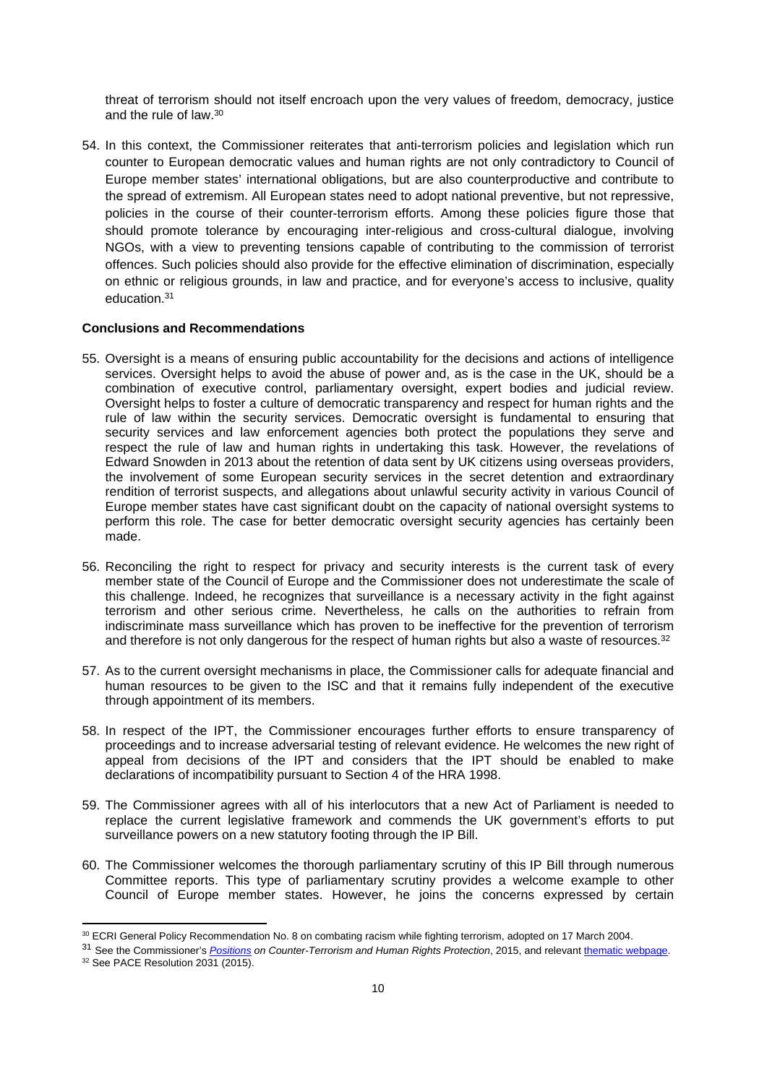threat of terrorism should not itself encroach upon the very values of freedom, democracy, justice and the rule of law.<sup>30</sup>

54. In this context, the Commissioner reiterates that anti-terrorism policies and legislation which run counter to European democratic values and human rights are not only contradictory to Council of Europe member states' international obligations, but are also counterproductive and contribute to the spread of extremism. All European states need to adopt national preventive, but not repressive, policies in the course of their counter-terrorism efforts. Among these policies figure those that should promote tolerance by encouraging inter-religious and cross-cultural dialogue, involving NGOs, with a view to preventing tensions capable of contributing to the commission of terrorist offences. Such policies should also provide for the effective elimination of discrimination, especially on ethnic or religious grounds, in law and practice, and for everyone's access to inclusive, quality education.<sup>31</sup>

#### **Conclusions and Recommendations**

- 55. Oversight is a means of ensuring public accountability for the decisions and actions of intelligence services. Oversight helps to avoid the abuse of power and, as is the case in the UK, should be a combination of executive control, parliamentary oversight, expert bodies and judicial review. Oversight helps to foster a culture of democratic transparency and respect for human rights and the rule of law within the security services. Democratic oversight is fundamental to ensuring that security services and law enforcement agencies both protect the populations they serve and respect the rule of law and human rights in undertaking this task. However, the revelations of Edward Snowden in 2013 about the retention of data sent by UK citizens using overseas providers, the involvement of some European security services in the secret detention and extraordinary rendition of terrorist suspects, and allegations about unlawful security activity in various Council of Europe member states have cast significant doubt on the capacity of national oversight systems to perform this role. The case for better democratic oversight security agencies has certainly been made.
- 56. Reconciling the right to respect for privacy and security interests is the current task of every member state of the Council of Europe and the Commissioner does not underestimate the scale of this challenge. Indeed, he recognizes that surveillance is a necessary activity in the fight against terrorism and other serious crime. Nevertheless, he calls on the authorities to refrain from indiscriminate mass surveillance which has proven to be ineffective for the prevention of terrorism and therefore is not only dangerous for the respect of human rights but also a waste of resources.<sup>32</sup>
- 57. As to the current oversight mechanisms in place, the Commissioner calls for adequate financial and human resources to be given to the ISC and that it remains fully independent of the executive through appointment of its members.
- 58. In respect of the IPT, the Commissioner encourages further efforts to ensure transparency of proceedings and to increase adversarial testing of relevant evidence. He welcomes the new right of appeal from decisions of the IPT and considers that the IPT should be enabled to make declarations of incompatibility pursuant to Section 4 of the HRA 1998.
- 59. The Commissioner agrees with all of his interlocutors that a new Act of Parliament is needed to replace the current legislative framework and commends the UK government's efforts to put surveillance powers on a new statutory footing through the IP Bill.
- 60. The Commissioner welcomes the thorough parliamentary scrutiny of this IP Bill through numerous Committee reports. This type of parliamentary scrutiny provides a welcome example to other Council of Europe member states. However, he joins the concerns expressed by certain

<sup>30</sup> ECRI General Policy Recommendation No. 8 on combating racism while fighting terrorism, adopted on 17 March 2004.

<sup>31</sup> See the Commissioner's *[Positions](https://wcd.coe.int/com.instranet.InstraServlet?command=com.instranet.CmdBlobGet&InstranetImage=2757196&SecMode=1&DocId=2274090&Usage=2) on Counter-Terrorism and Human Rights Protection*, 2015, and relevant [thematic webpage](http://www.coe.int/en/web/commissioner/thematic-work/counter-terrorism). <sup>32</sup> See PACE Resolution 2031 (2015).